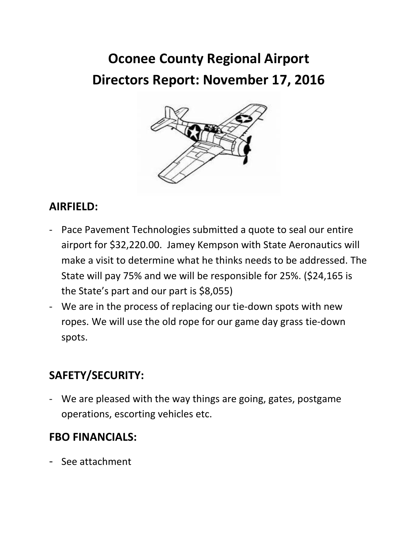# **Oconee County Regional Airport Directors Report: November 17, 2016**



### **AIRFIELD:**

- Pace Pavement Technologies submitted a quote to seal our entire airport for \$32,220.00. Jamey Kempson with State Aeronautics will make a visit to determine what he thinks needs to be addressed. The State will pay 75% and we will be responsible for 25%. (\$24,165 is the State's part and our part is \$8,055)
- We are in the process of replacing our tie-down spots with new ropes. We will use the old rope for our game day grass tie-down spots.

#### **SAFETY/SECURITY:**

- We are pleased with the way things are going, gates, postgame operations, escorting vehicles etc.

#### **FBO FINANCIALS:**

- See attachment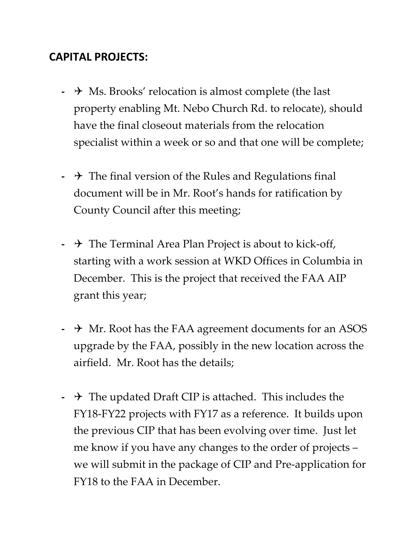#### **CAPITAL PROJECTS:**

- **-** → Ms. Brooks' relocation is almost complete (the last property enabling Mt. Nebo Church Rd. to relocate), should have the final closeout materials from the relocation specialist within a week or so and that one will be complete;
- **-** The final version of the Rules and Regulations final document will be in Mr. Root's hands for ratification by County Council after this meeting;
- **-**  $\rightarrow$  The Terminal Area Plan Project is about to kick-off, starting with a work session at WKD Offices in Columbia in December. This is the project that received the FAA AIP grant this year;
- $\rightarrow$  Mr. Root has the FAA agreement documents for an ASOS upgrade by the FAA, possibly in the new location across the airfield. Mr. Root has the details;
- **-** The updated Draft CIP is attached. This includes the FY18-FY22 projects with FY17 as a reference. It builds upon the previous CIP that has been evolving over time. Just let me know if you have any changes to the order of projects – we will submit in the package of CIP and Pre-application for FY18 to the FAA in December.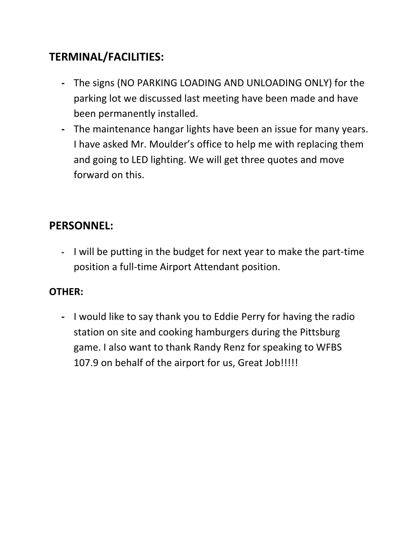#### **TERMINAL/FACILITIES:**

- **-** The signs (NO PARKING LOADING AND UNLOADING ONLY) for the parking lot we discussed last meeting have been made and have been permanently installed.
- **-** The maintenance hangar lights have been an issue for many years. I have asked Mr. Moulder's office to help me with replacing them and going to LED lighting. We will get three quotes and move forward on this.

#### **PERSONNEL:**

**-** I will be putting in the budget for next year to make the part-time position a full-time Airport Attendant position.

#### **OTHER:**

**-** I would like to say thank you to Eddie Perry for having the radio station on site and cooking hamburgers during the Pittsburg game. I also want to thank Randy Renz for speaking to WFBS 107.9 on behalf of the airport for us, Great Job!!!!!!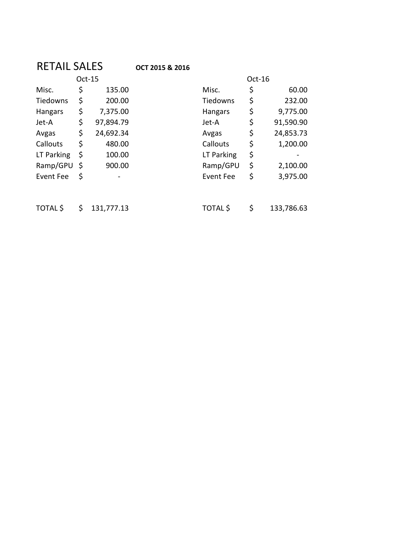## RETAIL SALES **OCT 2015 & 2016**

|                  | Oct-15 |           |  |  |  |
|------------------|--------|-----------|--|--|--|
| Misc.            | \$     | 135.00    |  |  |  |
| Tiedowns         | \$     | 200.00    |  |  |  |
| <b>Hangars</b>   | \$     | 7,375.00  |  |  |  |
| Jet-A            | \$     | 97,894.79 |  |  |  |
| Avgas            | \$     | 24,692.34 |  |  |  |
| Callouts         | \$     | 480.00    |  |  |  |
| LT Parking       | \$     | 100.00    |  |  |  |
| Ramp/GPU         | \$     | 900.00    |  |  |  |
| <b>Event Fee</b> | \$     |           |  |  |  |

| Oct-15         |    |           |            |    |           |
|----------------|----|-----------|------------|----|-----------|
| Misc.          | \$ | 135.00    | Misc.      | \$ | 60.00     |
| Tiedowns       | \$ | 200.00    | Tiedowns   | \$ | 232.00    |
| <b>Hangars</b> | \$ | 7,375.00  | Hangars    | \$ | 9,775.00  |
| Jet-A          | \$ | 97,894.79 | Jet-A      | \$ | 91,590.90 |
| Avgas          | \$ | 24,692.34 | Avgas      | \$ | 24,853.73 |
| Callouts       | \$ | 480.00    | Callouts   | \$ | 1,200.00  |
| LT Parking     | \$ | 100.00    | LT Parking | \$ |           |
| Ramp/GPU       | \$ | 900.00    | Ramp/GPU   | \$ | 2,100.00  |
| Event Fee      | \$ |           | Event Fee  | \$ | 3,975.00  |
|                |    |           |            |    |           |
|                |    |           |            |    |           |

TOTAL \$ \$ 131,777.13 TOTAL \$ \$ 133,786.63